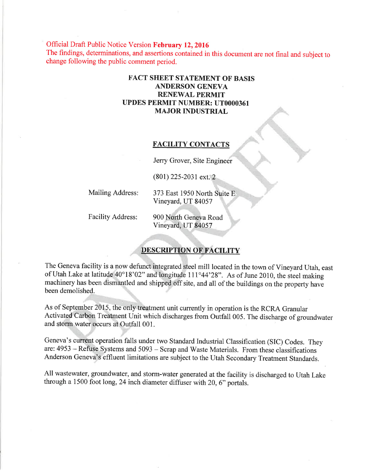Official Draft Public Notice Version February 12,2016 The findings, determinations, and assertions contained in this document are not final and subject to change following the public comment period.

### FACT SHEET STATEMENT OF BASIS ANDERSON GENEVA RENEWAL PERMIT UPDES PERMIT NUMBER: UT0000361 MAJOR INDUSTRIAL

#### FACILITY CONTACTS

Jerry Grover, Site Engineer

(801)22s-2031 ext.2

Mailing Address:

373 East 1950 North Suite E Vineyard, UT 84057

Facility Address:

900 North Geneva Road Vineyard, UT 84057

## DESCRIPTION OF FACILITY

The Geneva facility is a now defunct integrated steel mill located in the town of Vineyard Utah, east of Utah Lake at latitude 40°18'02" and longitude 111°44'28". As of June 2010, the steel making machinery has been dismantled and shipped off site, and all of the buildings on the property have been demolished.

As of September 2015, the only treatment unit currently in operation is the RCRA Granular Activated Carbon Treatment Unit which discharges from Outfall 005. The discharge of groundwater and storm water occurs at Outfall 001.

Geneva's current operation falls under two Standard Industrial Classification (SIC) Codes. They arc: 4953 - Refuse Systems and 5093 - Scrap and Waste Materials. From these classifications Anderson Geneva's effluent limitations are subject to the Utah Secondary Treatment Standards.

All wastewater, groundwater, and storm-water generated at the facility is discharged to Utah Lake through a 1500 foot long, 24 inch diameter diffuser with 20,  $6$ " portals.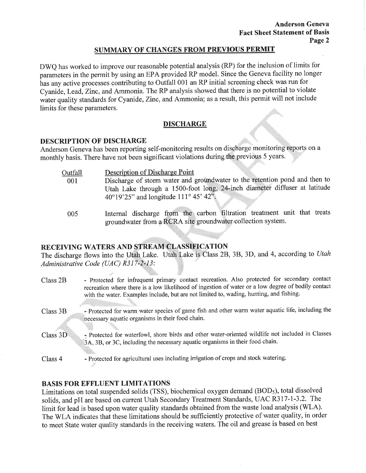## SUMMARY OF CHANGES FROM PREVIOUS PERMIT

DWQ has worked to improve our reasonable potential analysis (RP) for the inclusion of limits for parameters in the permit by using an EPA provided RP model. Since the Geneva facility no longer has any active processes contributing to Outfall 001 an RP initial screening check was run for Cyanide, Lead, Zinc, andAmmonia. The RP analysis showed that there is no potential to violate water quality standards for Cyanide, Zinc, and Ammonia; as a result, this permit will not include limits for these parameters.

## DISCHARGE

## DESCRIPTION OF DISCHARGE

Anderson Geneva has been reporting self-monitoring results on discharge monitoring reports on <sup>a</sup> monthly basis. There have not been significant violations during the previous 5 years.

| Outfall<br>001 | Description of Discharge Point<br>Discharge of storm water and groundwater to the retention pond and then to<br>Utah Lake through a 1500-foot long, 24-inch diameter diffuser at latitude<br>40°19'25" and longitude $111^{\circ}$ 45' 42". |
|----------------|---------------------------------------------------------------------------------------------------------------------------------------------------------------------------------------------------------------------------------------------|
| 005            | Internal discharge from the carbon filtration treatment unit that treats<br>groundwater from a RCRA site groundwater collection system.                                                                                                     |

# RECEIVING WATERS AND STREAM CLASSIFICATION

The discharge flows into the Utah Lake. Utah Lake is Class 2B, 3B, 3D, and 4, according to Utah Administrative Code (UAC) R317-2-13:

| Class 2B | - Protected for infrequent primary contact recreation. Also protected for secondary contact<br>recreation where there is a low likelihood of ingestion of water or a low degree of bodily contact<br>with the water. Examples include, but are not limited to, wading, hunting, and fishing. |
|----------|----------------------------------------------------------------------------------------------------------------------------------------------------------------------------------------------------------------------------------------------------------------------------------------------|
| Class 3B | - Protected for warm water species of game fish and other warm water aquatic life, including the<br>necessary aquatic organisms in their food chain.                                                                                                                                         |
| Class 3D | - Protected for waterfowl, shore birds and other water-oriented wildlife not included in Classes<br>3A, 3B, or 3C, including the necessary aquatic organisms in their food chain.                                                                                                            |
| Class 4  | - Protected for agricultural uses including irrigation of crops and stock watering.                                                                                                                                                                                                          |

## BASIS FOR EFFLUENT LIMITATIONS

 $\mathcal{L}$ 

Limitations on total suspended solids (TSS), biochemical oxygen demand (BOD<sub>5</sub>), total dissolved solids, and pH are based on current Utah Secondary Treatment Standards, UAC R317-1-3.2. The limit for lead is based upon water quality standards obtained from the waste load analysis (WLA). The WLA indicates that these limitations should be sufficiently protective of water quality, in order to meet State water quality standards in the receiving waters. The oil and grease is based on best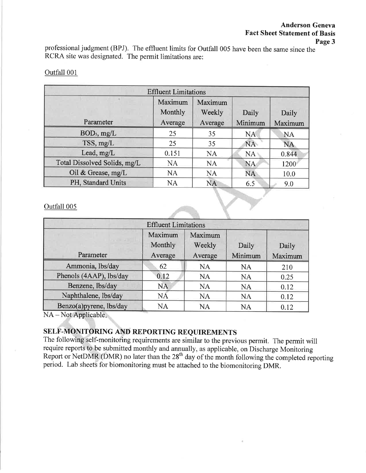professional judgment (BPJ). The effluent limits for Outfall 005 have been the same since the RCRA site was designated. The permit limitations are:

|                              | <b>Effluent Limitations</b> |                   |           |           |
|------------------------------|-----------------------------|-------------------|-----------|-----------|
|                              | Maximum<br>Monthly          | Maximum<br>Weekly | Daily     | Daily     |
| Parameter                    | Average                     | Average           | Minimum   | Maximum   |
| BOD <sub>5</sub> , mg/L      | 25                          | 35                | <b>NA</b> | <b>NA</b> |
| TSS, mg/L                    | 25                          | 35                | <b>NA</b> | <b>NA</b> |
| Lead, mg/L                   | 0.151                       | <b>NA</b>         | <b>NA</b> | 0.844     |
| Total Dissolved Solids, mg/L | <b>NA</b>                   | <b>NA</b>         | <b>NA</b> | 1200      |
| Oil & Grease, mg/L           | <b>NA</b>                   | <b>NA</b>         | <b>NA</b> | 10.0      |
| PH, Standard Units           | <b>NA</b>                   | <b>NA</b>         | 6.5       | 9.0       |

## Outfall 001

#### Outfall 005

| <b>Effluent Limitations</b>    |                    |                   |           |         |
|--------------------------------|--------------------|-------------------|-----------|---------|
|                                | Maximum<br>Monthly | Maximum<br>Weekly | Daily     | Daily   |
| Parameter                      | Average            | Average           | Minimum   | Maximum |
| Ammonia, lbs/day               | 62                 | <b>NA</b>         | <b>NA</b> | 210     |
| Phenols (4AAP), lbs/day        | 0.12               | <b>NA</b>         | <b>NA</b> | 0.25    |
| Benzene, lbs/day               | <b>NA</b>          | <b>NA</b>         | <b>NA</b> | 0.12    |
| Naphthalene, lbs/day           | NA                 | <b>NA</b>         | <b>NA</b> | 0.12    |
| Benzo(a)pyrene, lbs/day<br>--- | NA                 | <b>NA</b>         | <b>NA</b> | 0.12    |

 $NA - Not$  Applicable.

# SELF-MONITORING AND REPORTING REQUIREMENTS

The following self-monitoring requirements are similar to the previous permit. The permit will require reports to be submitted monthly and annually, as applicable, on Discharge Monitoring Report or NetDMR (DMR) no later than the  $28^{th}$  day of the month following the completed reporting period. Lab sheets for biomonitoring must be attached to the biomonitoring DMR.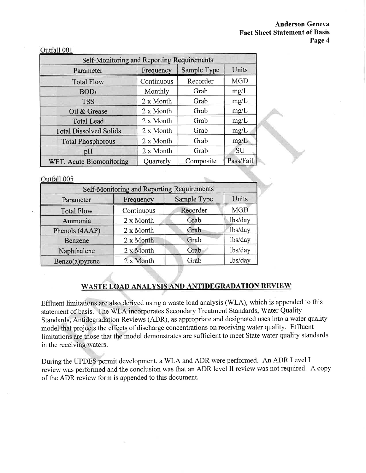| Self-Monitoring and Reporting Requirements |            |             |            |  |
|--------------------------------------------|------------|-------------|------------|--|
| Parameter                                  | Frequency  | Sample Type | Units      |  |
| <b>Total Flow</b>                          | Continuous | Recorder    | <b>MGD</b> |  |
| <b>BOD</b> <sub>s</sub>                    | Monthly    | Grab        | mg/L       |  |
| <b>TSS</b>                                 | 2 x Month  | Grab        | mg/L       |  |
| Oil & Grease                               | 2 x Month  | Grab        | mg/L       |  |
| <b>Total Lead</b>                          | 2 x Month  | Grab        | mg/L       |  |
| <b>Total Dissolved Solids</b>              | 2 x Month  | Grab        | mg/L       |  |
| <b>Total Phosphorous</b>                   | 2 x Month  | Grab        | mg/L       |  |
| pH                                         | 2 x Month  | Grab        | <b>SU</b>  |  |
| WET, Acute Biomonitoring                   | Quarterly  | Composite   | Pass/Fail  |  |

Outfall 005

Outfall 001

| Self-Monitoring and Reporting Requirements |            |             |            |  |
|--------------------------------------------|------------|-------------|------------|--|
| Parameter                                  | Frequency  | Sample Type | Units      |  |
| <b>Total Flow</b>                          | Continuous | Recorder    | <b>MGD</b> |  |
| Ammonia                                    | 2 x Month  | Grab        | lbs/day    |  |
| Phenols (4AAP)                             | 2 x Month  | Grab        | lbs/day    |  |
| <b>Benzene</b>                             | 2 x Month  | Grab        | lbs/day    |  |
| Naphthalene                                | 2 x Month  | Grab        | lbs/day    |  |
| Benzo(a)pyrene                             | 2 x Month  | Grab        | lbs/day    |  |

# WASTE LOAD ANALYSIS AND ANTIDEGRADATION REVIEW

Effluent limitations are also derived using a waste load analysis (WLA), which is appended to this statement of basis. The WLA incorporates Secondary Treatment Standards, Water Quality Standards, Antidegradation Reviews (ADR), as appropriate and designated uses into a water quality model that projects the effects of discharge concentrations on receiving water quality. Effluent limitations are those that the model demonstrates are sufficient to meet State water quality standards in the receiving waters.

During the UPDES permit development, a WLA and ADR were performed. An ADR Level I review was performed and the conclusion was that an ADR level II review was not required. A copy of the ADR review form is appended to this document.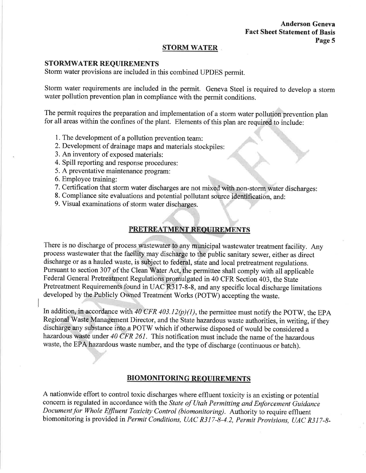#### STORM WATER

#### STORMWATER REQUIREMENTS

Storm water provisions are included in this combined UPDES permit.

Storm water requirements are included in the permit. Geneva Steel is required to develop a storm water pollution prevention plan in compliance with the permit conditions.

The permit requires the preparation and implementation of a storm water pollution prevention plan for all areas within the confines of the plant. Elements of this plan are required to include:

- 1. The development of a pollution prevention team:
- 2. Development of drainage maps and materials stockpiles:
- 3. An inventory of exposed materials:
- 4. Spill reporting and response procedures:
- 5. A preventative maintenance program:
- 6. Employee training:
- 7. Certification that storm water discharges are not mixed with non-storm water discharges:
- 8. Compliance site evaluations and potential pollutant source identification, and:
- 9. Visual examinations of storm water discharges.

# PRETREATMENT REOUIREMENTS

There is no discharge of process wastewater to any municipal wastewater treatment facility. Any process wastewater that the facility may discharge to the public sanitary sewer, either as direct discharge or as a hauled waste, is subject to federal, state and local pretreatment regulations. Pursuant to section 307 of the Clean Wàter Act, the permittee shall comply with all applicable Federal General Pretreatment Regulations promulgated in 40 CFR Section 403, the State Pretreatment Requirements found in UAC R317-8-8, and any specific local discharge limitations developed by the Publicly Owned Treatment Works (POTW) accepting the waste.

In addition, in accordance with 40 CFR 403.12(p)(1), the permittee must notify the POTW, the EPA Regional Waste Management Director, and the State hazardous waste authorities, in writing, if they discharge any substance into a POTW which if otherwise disposed of would be considered <sup>a</sup> hazardous waste under 40 CFR 261. This notification must include the name of the hazardous waste, the EPA hazardous waste number, and the type of discharge (continuous or batch).

#### BIOMONITORING REOUIREMENTS

A nationwide effort to control toxic discharges where effluent toxicity is an existing or potential concern is regulated in accordance with the State of Utah Permitting and Enforcement Guidance Document for Whole Effluent Toxicity Control (biomonitoring). Authority to require effluent biomonitoring is provided in Permit Conditions, UAC R317-8-4.2, Permit Provisions, UAC R317-8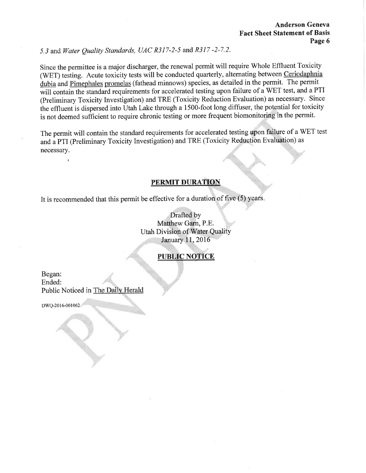5.3 and Water Quality Standards, UAC R317-2-5 and R317-2-7.2.

Since the permittee is a major discharger, the renewal permit will require Whole Effluent Toxicity (WET) testing. Acute toxicity tests will be conducted quarterly, alternating between Ceriodaphnia dubia and Pimephales promelas (fathead minnows) species, as detailed in the permit. The permit will contain the standard requirements for accelerated testing upon failure of a WET test, and a PTI (Preliminary Toxicity Investigation) and TRE (Toxicity Reduction Evaluation) as necessary. Since the effluent is dispersed into Utah Lake through a 1500-foot long diffuser, the potential for toxicity is not deemed sufficient to require chronic testing or more frequent biomonitoring in the permit.

The permit will contain the standard requirements for accelerated testing upon failure of a WET test and å PTI (Preliminary Toxicity Investigation) and TRE (Toxicity Reduction Evaluation) as necessary.

## PERMIT DURATION

It is recommended that this permit be effective for a duration of five (5) years

Drafted by Matthew Gam, P.E. Utah Division of Water Quality January lI,2016

## PUBLIC NOTICE

Began: Ended: Public Noticed in The Daily Herald

DWQ-2016-001062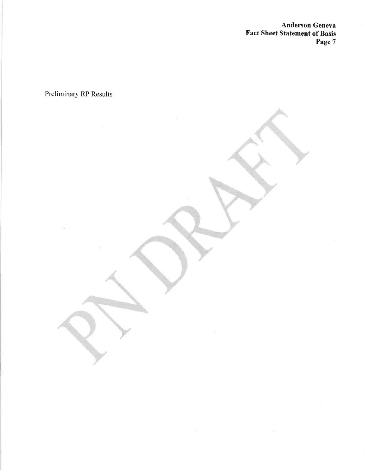Anderson Geneva Fact Sheet Statement of Basis Page 7

Preliminary RP Results